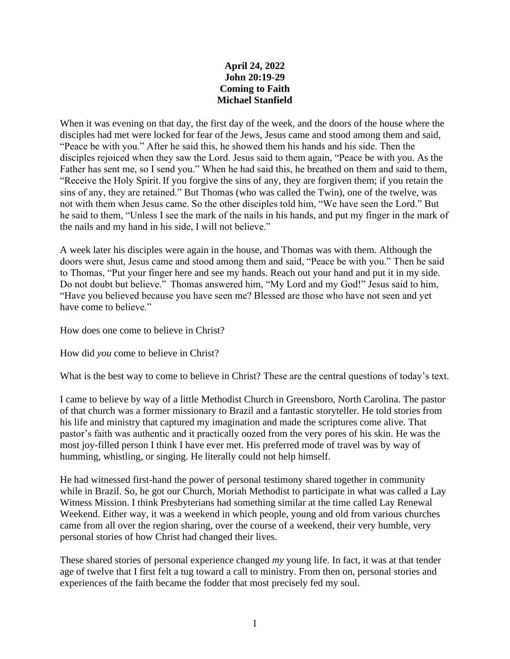## **April 24, 2022 John 20:19-29 Coming to Faith Michael Stanfield**

When it was evening on that day, the first day of the week, and the doors of the house where the disciples had met were locked for fear of the Jews, Jesus came and stood among them and said, "Peace be with you." After he said this, he showed them his hands and his side. Then the disciples rejoiced when they saw the Lord. Jesus said to them again, "Peace be with you. As the Father has sent me, so I send you." When he had said this, he breathed on them and said to them, "Receive the Holy Spirit. If you forgive the sins of any, they are forgiven them; if you retain the sins of any, they are retained." But Thomas (who was called the Twin), one of the twelve, was not with them when Jesus came. So the other disciples told him, "We have seen the Lord." But he said to them, "Unless I see the mark of the nails in his hands, and put my finger in the mark of the nails and my hand in his side, I will not believe."

A week later his disciples were again in the house, and Thomas was with them. Although the doors were shut, Jesus came and stood among them and said, "Peace be with you." Then he said to Thomas, "Put your finger here and see my hands. Reach out your hand and put it in my side. Do not doubt but believe." Thomas answered him, "My Lord and my God!" Jesus said to him, "Have you believed because you have seen me? Blessed are those who have not seen and yet have come to believe."

How does one come to believe in Christ?

How did *you* come to believe in Christ?

What is the best way to come to believe in Christ? These are the central questions of today's text.

I came to believe by way of a little Methodist Church in Greensboro, North Carolina. The pastor of that church was a former missionary to Brazil and a fantastic storyteller. He told stories from his life and ministry that captured my imagination and made the scriptures come alive. That pastor's faith was authentic and it practically oozed from the very pores of his skin. He was the most joy-filled person I think I have ever met. His preferred mode of travel was by way of humming, whistling, or singing. He literally could not help himself.

He had witnessed first-hand the power of personal testimony shared together in community while in Brazil. So, he got our Church, Moriah Methodist to participate in what was called a Lay Witness Mission. I think Presbyterians had something similar at the time called Lay Renewal Weekend. Either way, it was a weekend in which people, young and old from various churches came from all over the region sharing, over the course of a weekend, their very humble, very personal stories of how Christ had changed their lives.

These shared stories of personal experience changed *my* young life. In fact, it was at that tender age of twelve that I first felt a tug toward a call to ministry. From then on, personal stories and experiences of the faith became the fodder that most precisely fed my soul.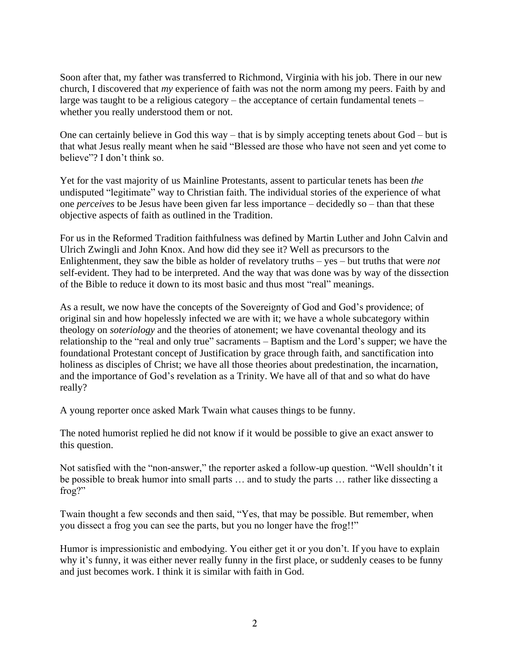Soon after that, my father was transferred to Richmond, Virginia with his job. There in our new church, I discovered that *my* experience of faith was not the norm among my peers. Faith by and large was taught to be a religious category – the acceptance of certain fundamental tenets – whether you really understood them or not.

One can certainly believe in God this way – that is by simply accepting tenets about God – but is that what Jesus really meant when he said "Blessed are those who have not seen and yet come to believe"? I don't think so.

Yet for the vast majority of us Mainline Protestants, assent to particular tenets has been *the* undisputed "legitimate" way to Christian faith. The individual stories of the experience of what one *perceives* to be Jesus have been given far less importance – decidedly so – than that these objective aspects of faith as outlined in the Tradition.

For us in the Reformed Tradition faithfulness was defined by Martin Luther and John Calvin and Ulrich Zwingli and John Knox. And how did they see it? Well as precursors to the Enlightenment, they saw the bible as holder of revelatory truths – yes – but truths that were *not* self-evident. They had to be interpreted. And the way that was done was by way of the dis*sec*tion of the Bible to reduce it down to its most basic and thus most "real" meanings.

As a result, we now have the concepts of the Sovereignty of God and God's providence; of original sin and how hopelessly infected we are with it; we have a whole subcategory within theology on *soteriology* and the theories of atonement; we have covenantal theology and its relationship to the "real and only true" sacraments – Baptism and the Lord's supper; we have the foundational Protestant concept of Justification by grace through faith, and sanctification into holiness as disciples of Christ; we have all those theories about predestination, the incarnation, and the importance of God's revelation as a Trinity. We have all of that and so what do have really?

A young reporter once asked Mark Twain what causes things to be funny.

The noted humorist replied he did not know if it would be possible to give an exact answer to this question.

Not satisfied with the "non-answer," the reporter asked a follow-up question. "Well shouldn't it be possible to break humor into small parts … and to study the parts … rather like dissecting a frog?"

Twain thought a few seconds and then said, "Yes, that may be possible. But remember, when you dissect a frog you can see the parts, but you no longer have the frog!!"

Humor is impressionistic and embodying. You either get it or you don't. If you have to explain why it's funny, it was either never really funny in the first place, or suddenly ceases to be funny and just becomes work. I think it is similar with faith in God.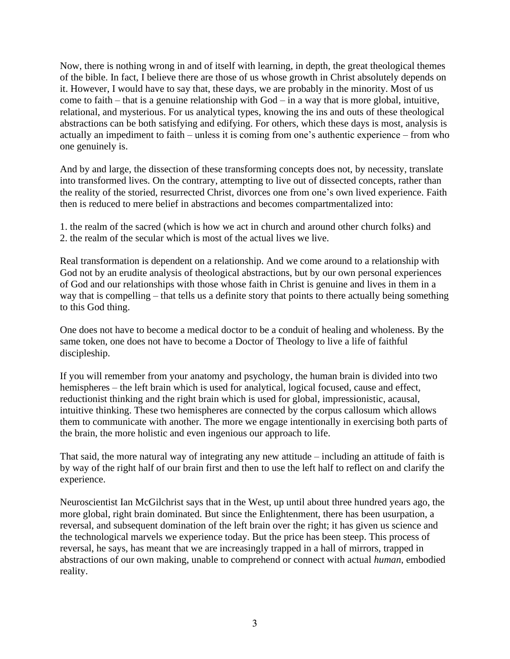Now, there is nothing wrong in and of itself with learning, in depth, the great theological themes of the bible. In fact, I believe there are those of us whose growth in Christ absolutely depends on it. However, I would have to say that, these days, we are probably in the minority. Most of us come to faith – that is a genuine relationship with  $God - in a way$  that is more global, intuitive, relational, and mysterious. For us analytical types, knowing the ins and outs of these theological abstractions can be both satisfying and edifying. For others, which these days is most, analysis is actually an impediment to faith – unless it is coming from one's authentic experience – from who one genuinely is.

And by and large, the dissection of these transforming concepts does not, by necessity, translate into transformed lives. On the contrary, attempting to live out of dissected concepts, rather than the reality of the storied, resurrected Christ, divorces one from one's own lived experience. Faith then is reduced to mere belief in abstractions and becomes compartmentalized into:

1. the realm of the sacred (which is how we act in church and around other church folks) and 2. the realm of the secular which is most of the actual lives we live.

Real transformation is dependent on a relationship. And we come around to a relationship with God not by an erudite analysis of theological abstractions, but by our own personal experiences of God and our relationships with those whose faith in Christ is genuine and lives in them in a way that is compelling – that tells us a definite story that points to there actually being something to this God thing.

One does not have to become a medical doctor to be a conduit of healing and wholeness. By the same token, one does not have to become a Doctor of Theology to live a life of faithful discipleship.

If you will remember from your anatomy and psychology, the human brain is divided into two hemispheres – the left brain which is used for analytical, logical focused, cause and effect, reductionist thinking and the right brain which is used for global, impressionistic, acausal, intuitive thinking. These two hemispheres are connected by the corpus callosum which allows them to communicate with another. The more we engage intentionally in exercising both parts of the brain, the more holistic and even ingenious our approach to life.

That said, the more natural way of integrating any new attitude – including an attitude of faith is by way of the right half of our brain first and then to use the left half to reflect on and clarify the experience.

Neuroscientist Ian McGilchrist says that in the West, up until about three hundred years ago, the more global, right brain dominated. But since the Enlightenment, there has been usurpation, a reversal, and subsequent domination of the left brain over the right; it has given us science and the technological marvels we experience today. But the price has been steep. This process of reversal, he says, has meant that we are increasingly trapped in a hall of mirrors, trapped in abstractions of our own making, unable to comprehend or connect with actual *human*, embodied reality.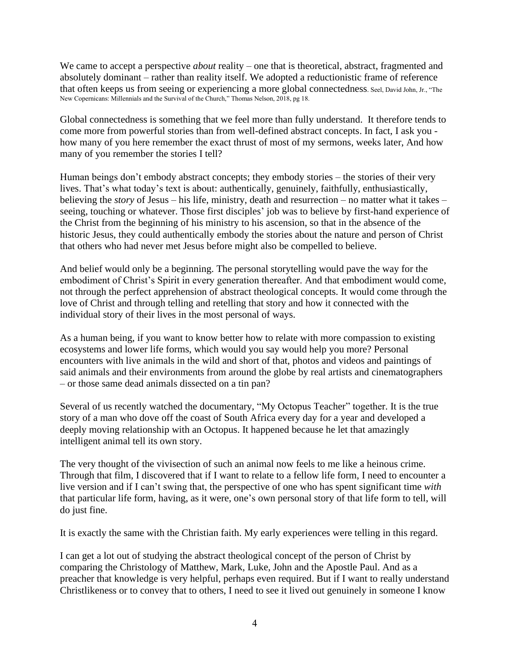We came to accept a perspective *about* reality – one that is theoretical, abstract, fragmented and absolutely dominant – rather than reality itself. We adopted a reductionistic frame of reference that often keeps us from seeing or experiencing a more global connectedness. Seel, David John, Jr., "The New Copernicans: Millennials and the Survival of the Church," Thomas Nelson, 2018, pg 18.

Global connectedness is something that we feel more than fully understand. It therefore tends to come more from powerful stories than from well-defined abstract concepts. In fact, I ask you how many of you here remember the exact thrust of most of my sermons, weeks later, And how many of you remember the stories I tell?

Human beings don't embody abstract concepts; they embody stories – the stories of their very lives. That's what today's text is about: authentically, genuinely, faithfully, enthusiastically, believing the *story* of Jesus – his life, ministry, death and resurrection – no matter what it takes – seeing, touching or whatever. Those first disciples' job was to believe by first-hand experience of the Christ from the beginning of his ministry to his ascension, so that in the absence of the historic Jesus, they could authentically embody the stories about the nature and person of Christ that others who had never met Jesus before might also be compelled to believe.

And belief would only be a beginning. The personal storytelling would pave the way for the embodiment of Christ's Spirit in every generation thereafter. And that embodiment would come, not through the perfect apprehension of abstract theological concepts. It would come through the love of Christ and through telling and retelling that story and how it connected with the individual story of their lives in the most personal of ways.

As a human being, if you want to know better how to relate with more compassion to existing ecosystems and lower life forms, which would you say would help you more? Personal encounters with live animals in the wild and short of that, photos and videos and paintings of said animals and their environments from around the globe by real artists and cinematographers – or those same dead animals dissected on a tin pan?

Several of us recently watched the documentary, "My Octopus Teacher" together. It is the true story of a man who dove off the coast of South Africa every day for a year and developed a deeply moving relationship with an Octopus. It happened because he let that amazingly intelligent animal tell its own story.

The very thought of the vivisection of such an animal now feels to me like a heinous crime. Through that film, I discovered that if I want to relate to a fellow life form, I need to encounter a live version and if I can't swing that, the perspective of one who has spent significant time *with* that particular life form, having, as it were, one's own personal story of that life form to tell, will do just fine.

It is exactly the same with the Christian faith. My early experiences were telling in this regard.

I can get a lot out of studying the abstract theological concept of the person of Christ by comparing the Christology of Matthew, Mark, Luke, John and the Apostle Paul. And as a preacher that knowledge is very helpful, perhaps even required. But if I want to really understand Christlikeness or to convey that to others, I need to see it lived out genuinely in someone I know